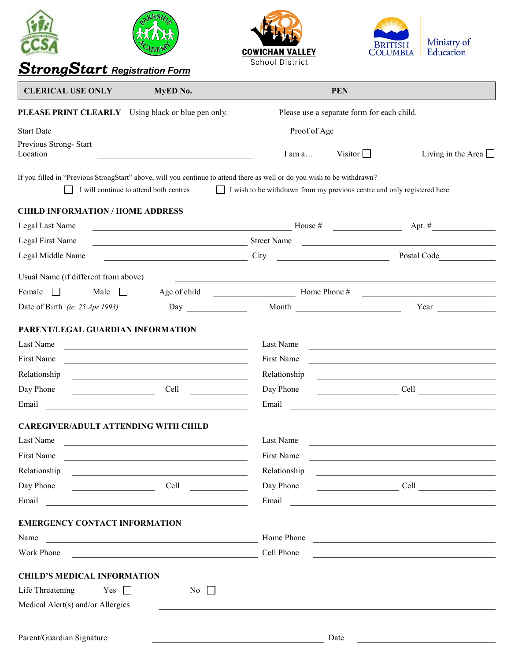|                                                                                                                                                                    |                                                                                                                                                                                                                                | <b>COWICHAN VALLEY</b>                                                         | <b>DLUMBIA</b> | Ministry of<br>Education                                                                                              |
|--------------------------------------------------------------------------------------------------------------------------------------------------------------------|--------------------------------------------------------------------------------------------------------------------------------------------------------------------------------------------------------------------------------|--------------------------------------------------------------------------------|----------------|-----------------------------------------------------------------------------------------------------------------------|
| School District<br><b>Strong Start Registration Form</b>                                                                                                           |                                                                                                                                                                                                                                |                                                                                |                |                                                                                                                       |
| <b>CLERICAL USE ONLY</b>                                                                                                                                           | MyED No.                                                                                                                                                                                                                       |                                                                                | <b>PEN</b>     |                                                                                                                       |
| PLEASE PRINT CLEARLY—Using black or blue pen only.                                                                                                                 |                                                                                                                                                                                                                                | Please use a separate form for each child.                                     |                |                                                                                                                       |
| <b>Start Date</b>                                                                                                                                                  |                                                                                                                                                                                                                                |                                                                                |                |                                                                                                                       |
| Previous Strong-Start<br>Location                                                                                                                                  |                                                                                                                                                                                                                                | I am a                                                                         | Visitor $\Box$ | Living in the Area $\Box$                                                                                             |
| If you filled in "Previous StrongStart" above, will you continue to attend there as well or do you wish to be withdrawn?<br>I will continue to attend both centres |                                                                                                                                                                                                                                | $\Box$ I wish to be withdrawn from my previous centre and only registered here |                |                                                                                                                       |
| <b>CHILD INFORMATION / HOME ADDRESS</b>                                                                                                                            |                                                                                                                                                                                                                                |                                                                                |                |                                                                                                                       |
| Legal Last Name                                                                                                                                                    | $House #$ Apt. #                                                                                                                                                                                                               |                                                                                |                |                                                                                                                       |
| Legal First Name                                                                                                                                                   | Street Name                                                                                                                                                                                                                    |                                                                                |                |                                                                                                                       |
| Legal Middle Name                                                                                                                                                  | <u>City</u>                                                                                                                                                                                                                    |                                                                                |                | Postal Code                                                                                                           |
| Usual Name (if different from above)                                                                                                                               |                                                                                                                                                                                                                                |                                                                                |                |                                                                                                                       |
| Female<br>Male<br>$\perp$                                                                                                                                          |                                                                                                                                                                                                                                | Age of child Home Phone #                                                      |                |                                                                                                                       |
| Date of Birth (ie, 25 Apr 1993)                                                                                                                                    | Day and the same of the same of the same of the same of the same of the same of the same of the same of the same of the same of the same of the same of the same of the same of the same of the same of the same of the same o |                                                                                | Month          | Year $\qquad \qquad$                                                                                                  |
| PARENT/LEGAL GUARDIAN INFORMATION<br>Last Name<br><b>First Name</b><br>Relationship<br>Day Phone<br><u> 1990 - Johann Barbara, martin a</u><br>Email               | Cell<br><u> 1989 - Johann Harry Harry Harry Harry Harry Harry Harry Harry Harry Harry Harry Harry Harry Harry Harry Harry</u>                                                                                                  | Last Name<br>First Name<br>Relationship<br>Day Phone<br>Email                  |                | Cell<br><u> 1989 - Johann John Stein, markin fizik eta idazlear (</u>                                                 |
| <b>CAREGIVER/ADULT ATTENDING WITH CHILD</b>                                                                                                                        |                                                                                                                                                                                                                                |                                                                                |                |                                                                                                                       |
| Last Name                                                                                                                                                          |                                                                                                                                                                                                                                | Last Name                                                                      |                | <u> 1989 - Johann Stein, mars and de Branch and de Branch and de Branch and de Branch and de Branch and de Branch</u> |
| First Name                                                                                                                                                         | <u> 1989 - Johann Barbara, martxa alemaniar arg</u>                                                                                                                                                                            | First Name                                                                     |                | <u> 1989 - Jan Samuel Barbara, martin da shekara tsara 1989 - Andrea Samuel Barbara, mashrida a shekara tsara 19</u>  |
| Relationship                                                                                                                                                       | <u> The Communication of the Communication of the Communication of the Communication of the Communication of</u>                                                                                                               | Relationship                                                                   |                | <u> 1989 - Johann Barbara, martin amerikan basal dan berasal dalam basal dalam basal dalam basal dalam basal dala</u> |
| Day Phone<br><u> 1990 - Johann Barbara, martin e</u>                                                                                                               |                                                                                                                                                                                                                                | Day Phone                                                                      |                | Cell                                                                                                                  |
| Email                                                                                                                                                              |                                                                                                                                                                                                                                |                                                                                |                |                                                                                                                       |
| <b>EMERGENCY CONTACT INFORMATION</b>                                                                                                                               |                                                                                                                                                                                                                                |                                                                                |                |                                                                                                                       |
| Name                                                                                                                                                               |                                                                                                                                                                                                                                |                                                                                |                | Home Phone                                                                                                            |
| Work Phone                                                                                                                                                         | <u> 1980 - Johann Barn, amerikansk politiker (d. 1980)</u>                                                                                                                                                                     | Cell Phone                                                                     |                | <u> 1989 - Johann Stein, Amerikaansk politiker (* 1908)</u>                                                           |
|                                                                                                                                                                    |                                                                                                                                                                                                                                |                                                                                |                |                                                                                                                       |
| <b>CHILD'S MEDICAL INFORMATION</b><br>Life Threatening<br>Yes $\Box$<br>Medical Alert(s) and/or Allergies                                                          | No $\Box$                                                                                                                                                                                                                      |                                                                                |                |                                                                                                                       |
|                                                                                                                                                                    |                                                                                                                                                                                                                                |                                                                                |                |                                                                                                                       |